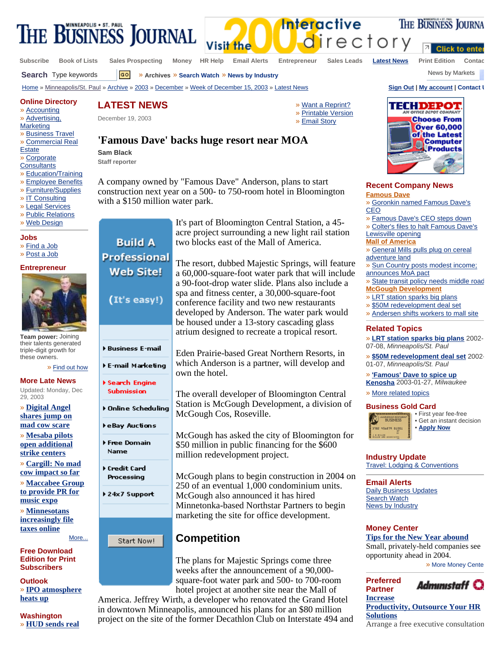

**Subscribe Book of Lists Sales Prospecting Money HR Help Email Alerts Entrepreneur Sales Leads Latest News Print Edition Contac**

**Click to enter** 

THE BUSINESS JOURNA



**Recent Company News Famous Dave**

» Goronkin named Famous Dave's CEO

» Famous Dave's CEO steps down » Colter's files to halt Famous Dave's Lewisville opening

**Mall of America**

» General Mills pulls plug on cereal adventure land

» Sun Country posts modest income; announces MoA pact

» State transit policy needs middle road **McGough Development**

- » LRT station sparks big plans
- » \$50M redevelopment deal set
- » Andersen shifts workers to mall site

## **Related Topics**

» **LRT station sparks big plans** 2002- 07-08, *Minneapolis/St. Paul*

» **\$50M redevelopment deal set** 2002- 01-07, *Minneapolis/St. Paul*

» **'Famous' Dave to spice up Kenosha** 2003-01-27, *Milwaukee*

» More related topics

#### **Business Gold Card**



• First year fee-free • Get an instant decision • **Apply Now**

**Industry Update** Travel: Lodging & Conventions

**Email Alerts** Daily Business Updates **Search Watch News by Industry** 

## **Money Center**

**Preferred Partner Increase** 

**Tips for the New Year abound** Small, privately-held companies see opportunity ahead in 2004.

» More Money Cente



**Productivity, Outsource Your HR Solutions** Arrange a free executive consultation

**Search** Type keywords **Go** » Archives » Search Watch » News by Industry Mexicus Archives and Mexicus News by Markets

Home » Minneapolis/St. Paul » Archive » 2003 » December » Week of December 15, 2003 » Latest News **Sign Out | My account | Contact U**

#### **Online Directory**

» Accounting

- » Advertising,
- **Marketing**
- » Business Travel
- » Commercial Real
- **Estate**
- » Corporate
- **Consultants**
- » Education/Training
- » Employee Benefits » Furniture/Supplies
- » IT Consulting
- » Legal Services
- » Public Relations
- » Web Design
- 

## **Jobs**

- » Find a Job
- » Post a Job

#### **Entrepreneur**



**Team power:** Joining their talents generated triple-digit growth for these owners.

» Find out how

**More Late News** Updated: Monday, Dec 29, 2003

- » **Digital Angel shares jump on mad cow scare**
- » **Mesaba pilots open additional strike centers**
- » **Cargill: No mad cow impact so far**
- » **Maccabee Group to provide PR for**
- **music expo** » **Minnesotans**

**increasingly file taxes online** More...

**Free Download Edition for Print Subscribers**

**Outlook** » **IPO atmosphere heats up**

A company owned by "Famous Dave" Anderson, plans to start construction next year on a 500- to 750-room hotel in Bloomington with a \$150 million water park.

> It's part of Bloomington Central Station, a 45 acre project surrounding a new light rail station two blocks east of the Mall of America.

The resort, dubbed Majestic Springs, will feature a 60,000-square-foot water park that will include a 90-foot-drop water slide. Plans also include a spa and fitness center, a 30,000-square-foot conference facility and two new restaurants developed by Anderson. The water park would be housed under a 13-story cascading glass atrium designed to recreate a tropical resort.

Eden Prairie-based Great Northern Resorts, in which Anderson is a partner, will develop and own the hotel.

The overall developer of Bloomington Central Station is McGough Development, a division of McGough Cos, Roseville.

McGough has asked the city of Bloomington for \$50 million in public financing for the \$600 million redevelopment project.

McGough plans to begin construction in 2004 on 250 of an eventual 1,000 condominium units. McGough also announced it has hired Minnetonka-based Northstar Partners to begin marketing the site for office development.

# **Competition**

The plans for Majestic Springs come three weeks after the announcement of a 90,000 square-foot water park and 500- to 700-room hotel project at another site near the Mall of

America. Jeffrey Wirth, a developer who renovated the Grand Hotel in downtown Minneapolis, announced his plans for an \$80 million project on the site of the former Decathlon Club on Interstate 494 and

**'Famous Dave' backs huge resort near MOA Sam Black** 

**Build A** Professional **Web Site!** 

(It's easy!)

Business E-mail

E-mail Marketing

Doline Scheduling

Search Engine Submission

eBay Auctions

Free Domain Name

Credit Card Processing

▶ 24x7 Support

Start Now!

**LATEST NEWS**  December 19, 2003

**Staff reporter** 

**Interactive** directory

» Want a Reprint? » Printable Version » Email Story